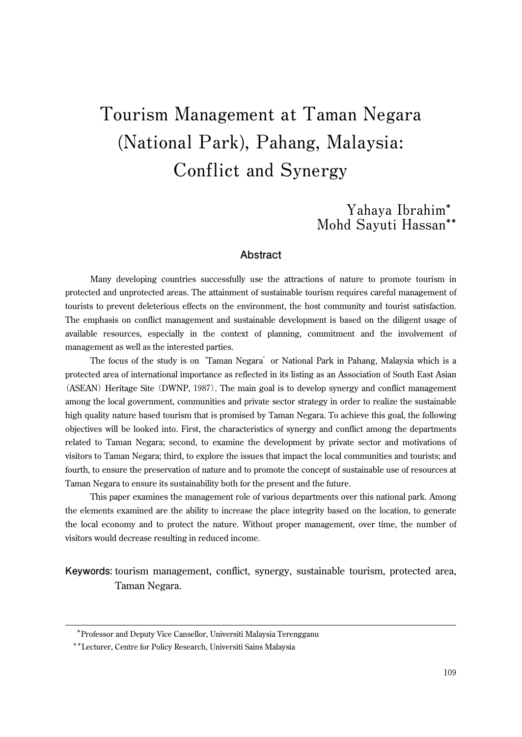# **Tourism Management at Taman Negara (National Park), Pahang, Malaysia: Conflict and Synergy**

**Yahaya Ibrahim\* Mohd Sayuti Hassan\*\***

### **Abstract**

Many developing countries successfully use the attractions of nature to promote tourism in protected and unprotected areas. The attainment of sustainable tourism requires careful management of tourists to prevent deleterious effects on the environment, the host community and tourist satisfaction. The emphasis on conflict management and sustainable development is based on the diligent usage of available resources, especially in the context of planning, commitment and the involvement of management as well as the interested parties.

The focus of the study is on 'Taman Negara' or National Park in Pahang, Malaysia which is a protected area of international importance as reflected in its listing as an Association of South East Asian (ASEAN) Heritage Site (DWNP, 1987). The main goal is to develop synergy and conflict management among the local government, communities and private sector strategy in order to realize the sustainable high quality nature based tourism that is promised by Taman Negara. To achieve this goal, the following objectives will be looked into. First, the characteristics of synergy and conflict among the departments related to Taman Negara; second, to examine the development by private sector and motivations of visitors to Taman Negara; third, to explore the issues that impact the local communities and tourists; and fourth, to ensure the preservation of nature and to promote the concept of sustainable use of resources at Taman Negara to ensure its sustainability both for the present and the future.

This paper examines the management role of various departments over this national park. Among the elements examined are the ability to increase the place integrity based on the location, to generate the local economy and to protect the nature. Without proper management, over time, the number of visitors would decrease resulting in reduced income.

**Keywords:** tourism management, conflict, synergy, sustainable tourism, protected area, Taman Negara.

\*Professor and Deputy Vice Cansellor, Universiti Malaysia Terengganu

<sup>\*\*</sup>Lecturer, Centre for Policy Research, Universiti Sains Malaysia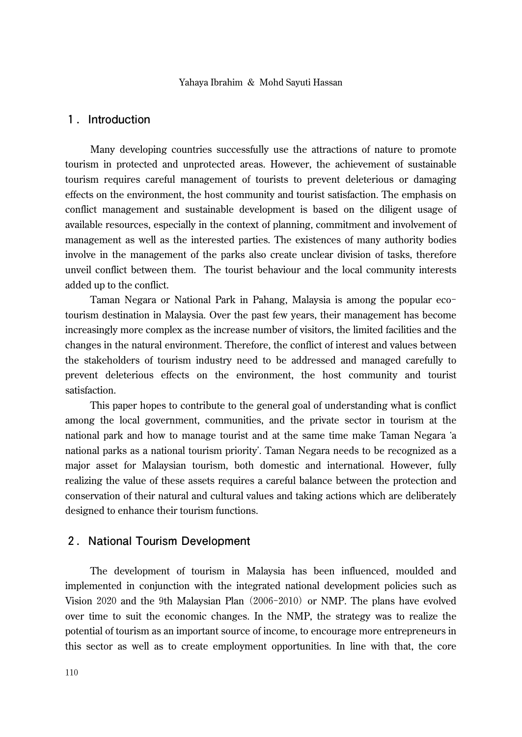# 1**.Introduction**

Many developing countries successfully use the attractions of nature to promote tourism in protected and unprotected areas. However, the achievement of sustainable tourism requires careful management of tourists to prevent deleterious or damaging effects on the environment, the host community and tourist satisfaction. The emphasis on conflict management and sustainable development is based on the diligent usage of available resources, especially in the context of planning, commitment and involvement of management as well as the interested parties. The existences of many authority bodies involve in the management of the parks also create unclear division of tasks, therefore unveil conflict between them. The tourist behaviour and the local community interests added up to the conflict.

Taman Negara or National Park in Pahang, Malaysia is among the popular ecotourism destination in Malaysia. Over the past few years, their management has become increasingly more complex as the increase number of visitors, the limited facilities and the changes in the natural environment. Therefore, the conflict of interest and values between the stakeholders of tourism industry need to be addressed and managed carefully to prevent deleterious effects on the environment, the host community and tourist satisfaction.

This paper hopes to contribute to the general goal of understanding what is conflict among the local government, communities, and the private sector in tourism at the national park and how to manage tourist and at the same time make Taman Negara ʻa national parks as a national tourism priority'. Taman Negara needs to be recognized as a major asset for Malaysian tourism, both domestic and international. However, fully realizing the value of these assets requires a careful balance between the protection and conservation of their natural and cultural values and taking actions which are deliberately designed to enhance their tourism functions.

# 2**.National Tourism Development**

The development of tourism in Malaysia has been influenced, moulded and implemented in conjunction with the integrated national development policies such as Vision 2020 and the 9th Malaysian Plan (2006-2010) or NMP. The plans have evolved over time to suit the economic changes. In the NMP, the strategy was to realize the potential of tourism as an important source of income, to encourage more entrepreneurs in this sector as well as to create employment opportunities. In line with that, the core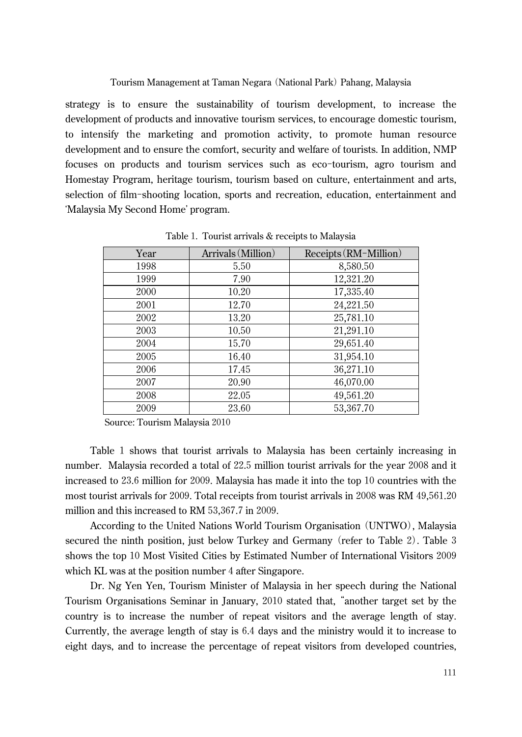strategy is to ensure the sustainability of tourism development, to increase the development of products and innovative tourism services, to encourage domestic tourism, to intensify the marketing and promotion activity, to promote human resource development and to ensure the comfort, security and welfare of tourists. In addition, NMP focuses on products and tourism services such as eco-tourism, agro tourism and Homestay Program, heritage tourism, tourism based on culture, entertainment and arts, selection of film-shooting location, sports and recreation, education, entertainment and ʻMalaysia My Second Home' program.

| Year | Arrivals (Million) | Receipts (RM-Million) |
|------|--------------------|-----------------------|
| 1998 | 5.50               | 8,580.50              |
| 1999 | 7.90               | 12,321.20             |
| 2000 | 10.20              | 17,335.40             |
| 2001 | 12.70              | 24,221.50             |
| 2002 | 13.20              | 25,781.10             |
| 2003 | 10.50              | 21,291.10             |
| 2004 | 15.70              | 29,651.40             |
| 2005 | 16.40              | 31,954.10             |
| 2006 | 17.45              | 36,271.10             |
| 2007 | 20.90              | 46,070.00             |
| 2008 | 22.05              | 49,561.20             |
| 2009 | 23.60              | 53,367.70             |

Table 1. Tourist arrivals & receipts to Malaysia

Source: Tourism Malaysia 2010

Table 1 shows that tourist arrivals to Malaysia has been certainly increasing in number. Malaysia recorded a total of 22.5 million tourist arrivals for the year 2008 and it increased to 23.6 million for 2009. Malaysia has made it into the top 10 countries with the most tourist arrivals for 2009. Total receipts from tourist arrivals in 2008 was RM 49,561.20 million and this increased to RM 53,367.7 in 2009.

According to the United Nations World Tourism Organisation (UNTWO), Malaysia secured the ninth position, just below Turkey and Germany (refer to Table 2). Table 3 shows the top 10 Most Visited Cities by Estimated Number of International Visitors 2009 which KL was at the position number 4 after Singapore.

Dr. Ng Yen Yen, Tourism Minister of Malaysia in her speech during the National Tourism Organisations Seminar in January, 2010 stated that, "another target set by the country is to increase the number of repeat visitors and the average length of stay. Currently, the average length of stay is 6.4 days and the ministry would it to increase to eight days, and to increase the percentage of repeat visitors from developed countries,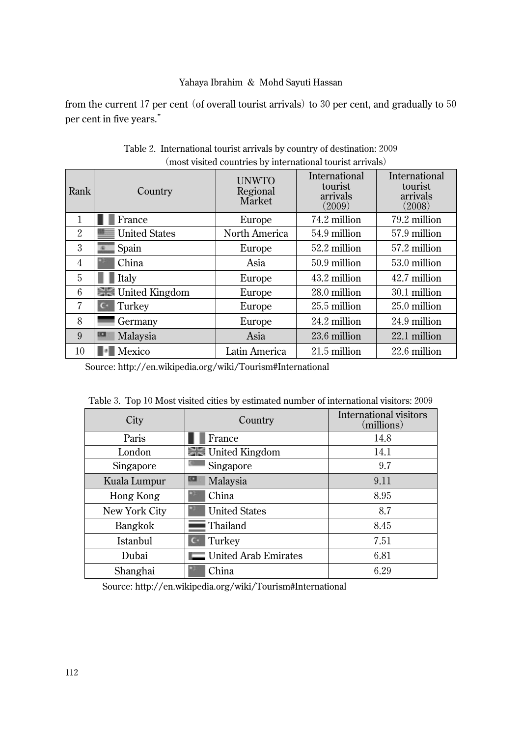from the current 17 per cent (of overall tourist arrivals) to 30 per cent, and gradually to 50 per cent in five years."

| Rank           | Country                         | <b>UNWTO</b><br>Regional<br>Market | International<br>tourist<br>arrivals<br>(2009) | International<br>tourist<br>arrivals<br>(2008) |
|----------------|---------------------------------|------------------------------------|------------------------------------------------|------------------------------------------------|
| 1              | France                          | Europe                             | 74.2 million                                   | 79.2 million                                   |
| 2              | <b>United States</b>            | North America                      | 54.9 million                                   | 57.9 million                                   |
| 3              | Spain                           | Europe                             | 52.2 million                                   | 57.2 million                                   |
| $\overline{4}$ | China                           | Asia                               | 50.9 million                                   | 53.0 million                                   |
| 5              | Italy                           | Europe                             | 43.2 million                                   | 42.7 million                                   |
| 6              | <b>Example 1</b> United Kingdom | Europe                             | 28.0 million                                   | 30.1 million                                   |
| 7              | Turkey                          | Europe                             | 25.5 million                                   | 25.0 million                                   |
| 8              | Germany                         | Europe                             | 24.2 million                                   | 24.9 million                                   |
| 9              | Malaysia                        | Asia                               | 23.6 million                                   | 22.1 million                                   |
| 10             | Mexico                          | Latin America                      | 21.5 million                                   | 22.6 million                                   |

Table 2. International tourist arrivals by country of destination: 2009 (most visited countries by international tourist arrivals)

Source: http://en.wikipedia.org/wiki/Tourism#International

| Lity      | Country                         | International visitors<br>(millions) |
|-----------|---------------------------------|--------------------------------------|
| Paris     | France                          | 14 8                                 |
| London    | <b>Example 1</b> United Kingdom |                                      |
| Singapore | Singapore                       |                                      |

Kuala Lumpur **Kuala Lumpur** Malaysia 19.11 Hong Kong | China | 8.95 New York City United States 8.7 Bangkok Thailand 8.45 Istanbul C Turkey 2.51 Dubai | United Arab Emirates | 6.81 Shanghai | China 6.29

Table 3. Top 10 Most visited cities by estimated number of international visitors: 2009

Source: http://en.wikipedia.org/wiki/Tourism#International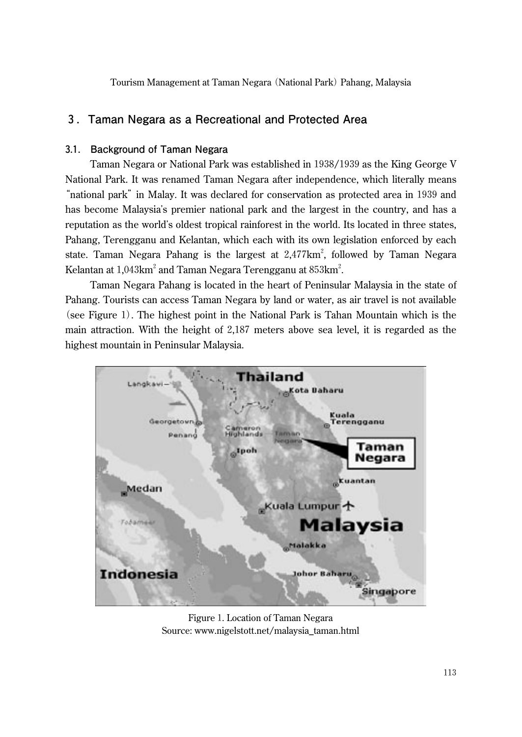# 3**.Taman Negara as a Recreational and Protected Area**

## 3**.**1**. Background of Taman Negara**

Taman Negara or National Park was established in 1938/1939 as the King George V National Park. It was renamed Taman Negara after independence, which literally means "national park" in Malay. It was declared for conservation as protected area in 1939 and has become Malaysia's premier national park and the largest in the country, and has a reputation as the world's oldest tropical rainforest in the world. Its located in three states, Pahang, Terengganu and Kelantan, which each with its own legislation enforced by each state. Taman Negara Pahang is the largest at  $2,477 \text{km}^2$ , followed by Taman Negara Kelantan at  $1{,}043\mathrm{km}^2$  and Taman Negara Terengganu at  $853\mathrm{km}^2$ .

Taman Negara Pahang is located in the heart of Peninsular Malaysia in the state of Pahang. Tourists can access Taman Negara by land or water, as air travel is not available (see Figure 1). The highest point in the National Park is Tahan Mountain which is the main attraction. With the height of 2,187 meters above sea level, it is regarded as the highest mountain in Peninsular Malaysia.



Figure 1. Location of Taman Negara Source: www.nigelstott.net/malaysia\_taman.html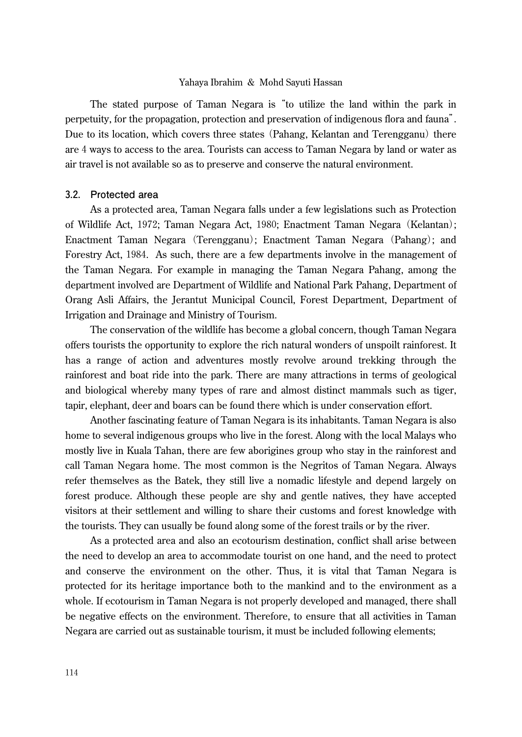The stated purpose of Taman Negara is "to utilize the land within the park in perpetuity, for the propagation, protection and preservation of indigenous flora and fauna". Due to its location, which covers three states (Pahang, Kelantan and Terengganu) there are 4 ways to access to the area. Tourists can access to Taman Negara by land or water as air travel is not available so as to preserve and conserve the natural environment.

#### 3**.**2**. Protected area**

As a protected area, Taman Negara falls under a few legislations such as Protection of Wildlife Act, 1972; Taman Negara Act, 1980; Enactment Taman Negara (Kelantan); Enactment Taman Negara (Terengganu); Enactment Taman Negara (Pahang); and Forestry Act, 1984. As such, there are a few departments involve in the management of the Taman Negara. For example in managing the Taman Negara Pahang, among the department involved are Department of Wildlife and National Park Pahang, Department of Orang Asli Affairs, the Jerantut Municipal Council, Forest Department, Department of Irrigation and Drainage and Ministry of Tourism.

The conservation of the wildlife has become a global concern, though Taman Negara offers tourists the opportunity to explore the rich natural wonders of unspoilt rainforest. It has a range of action and adventures mostly revolve around trekking through the rainforest and boat ride into the park. There are many attractions in terms of geological and biological whereby many types of rare and almost distinct mammals such as tiger, tapir, elephant, deer and boars can be found there which is under conservation effort.

Another fascinating feature of Taman Negara is its inhabitants. Taman Negara is also home to several indigenous groups who live in the forest. Along with the local Malays who mostly live in Kuala Tahan, there are few aborigines group who stay in the rainforest and call Taman Negara home. The most common is the Negritos of Taman Negara. Always refer themselves as the Batek, they still live a nomadic lifestyle and depend largely on forest produce. Although these people are shy and gentle natives, they have accepted visitors at their settlement and willing to share their customs and forest knowledge with the tourists. They can usually be found along some of the forest trails or by the river.

As a protected area and also an ecotourism destination, conflict shall arise between the need to develop an area to accommodate tourist on one hand, and the need to protect and conserve the environment on the other. Thus, it is vital that Taman Negara is protected for its heritage importance both to the mankind and to the environment as a whole. If ecotourism in Taman Negara is not properly developed and managed, there shall be negative effects on the environment. Therefore, to ensure that all activities in Taman Negara are carried out as sustainable tourism, it must be included following elements;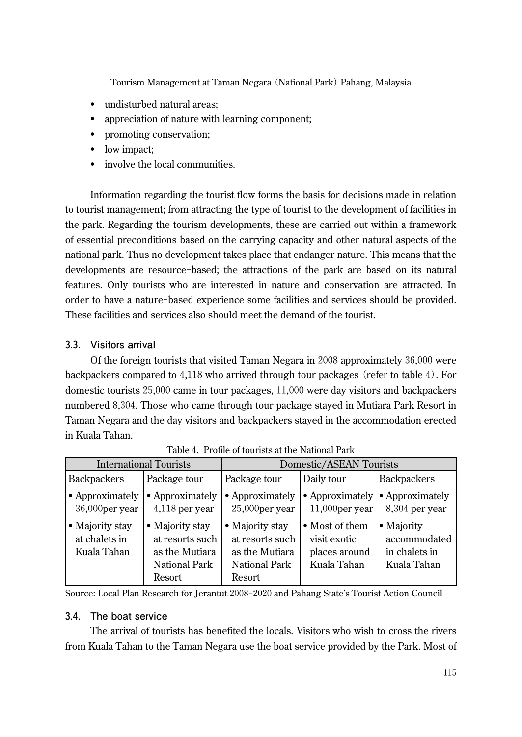- undisturbed natural areas;
- appreciation of nature with learning component;
- promoting conservation;
- low impact:
- involve the local communities.

Information regarding the tourist flow forms the basis for decisions made in relation to tourist management; from attracting the type of tourist to the development of facilities in the park. Regarding the tourism developments, these are carried out within a framework of essential preconditions based on the carrying capacity and other natural aspects of the national park. Thus no development takes place that endanger nature. This means that the developments are resource-based; the attractions of the park are based on its natural features. Only tourists who are interested in nature and conservation are attracted. In order to have a nature-based experience some facilities and services should be provided. These facilities and services also should meet the demand of the tourist.

# 3**.**3**. Visitors arrival**

Of the foreign tourists that visited Taman Negara in 2008 approximately 36,000 were backpackers compared to 4,118 who arrived through tour packages (refer to table 4). For domestic tourists 25,000 came in tour packages, 11,000 were day visitors and backpackers numbered 8,304. Those who came through tour package stayed in Mutiara Park Resort in Taman Negara and the day visitors and backpackers stayed in the accommodation erected in Kuala Tahan.

| <b>International Tourists</b>                   |                                                                                 | Domestic/ASEAN Tourists                                                         |                                                                |                                                            |
|-------------------------------------------------|---------------------------------------------------------------------------------|---------------------------------------------------------------------------------|----------------------------------------------------------------|------------------------------------------------------------|
| <b>Backpackers</b>                              | Package tour                                                                    | Package tour                                                                    | Daily tour                                                     | <b>Backpackers</b>                                         |
| • Approximately<br>36,000per year               | • Approximately<br>$4,118$ per year                                             | • Approximately<br>$25,000$ per year                                            | • Approximately<br>$11,000$ per year                           | • Approximately<br>8,304 per year                          |
| • Majority stay<br>at chalets in<br>Kuala Tahan | • Majority stay<br>at resorts such<br>as the Mutiara<br>National Park<br>Resort | • Majority stay<br>at resorts such<br>as the Mutiara<br>National Park<br>Resort | • Most of them<br>visit exotic<br>places around<br>Kuala Tahan | • Majority<br>accommodated<br>in chalets in<br>Kuala Tahan |

Table 4. Profile of tourists at the National Park

Source: Local Plan Research for Jerantut 2008-2020 and Pahang State's Tourist Action Council

## 3**.**4**. The boat service**

The arrival of tourists has benefited the locals. Visitors who wish to cross the rivers from Kuala Tahan to the Taman Negara use the boat service provided by the Park. Most of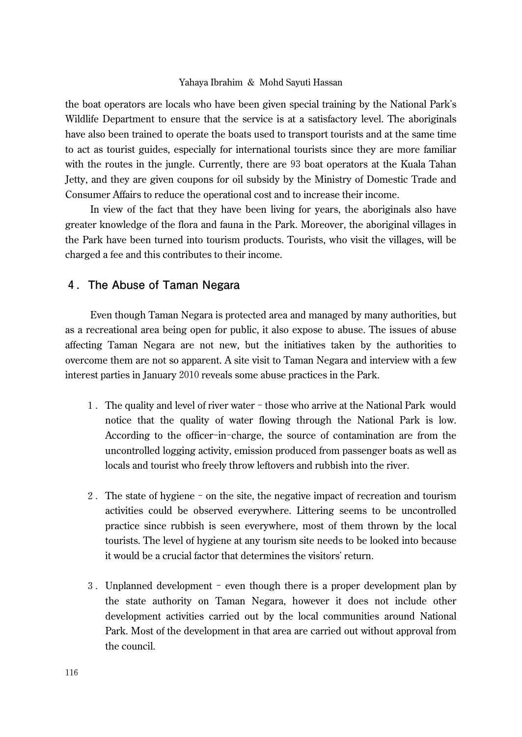the boat operators are locals who have been given special training by the National Park's Wildlife Department to ensure that the service is at a satisfactory level. The aboriginals have also been trained to operate the boats used to transport tourists and at the same time to act as tourist guides, especially for international tourists since they are more familiar with the routes in the jungle. Currently, there are 93 boat operators at the Kuala Tahan Jetty, and they are given coupons for oil subsidy by the Ministry of Domestic Trade and Consumer Affairs to reduce the operational cost and to increase their income.

In view of the fact that they have been living for years, the aboriginals also have greater knowledge of the flora and fauna in the Park. Moreover, the aboriginal villages in the Park have been turned into tourism products. Tourists, who visit the villages, will be charged a fee and this contributes to their income.

## 4**.The Abuse of Taman Negara**

Even though Taman Negara is protected area and managed by many authorities, but as a recreational area being open for public, it also expose to abuse. The issues of abuse affecting Taman Negara are not new, but the initiatives taken by the authorities to overcome them are not so apparent. A site visit to Taman Negara and interview with a few interest parties in January 2010 reveals some abuse practices in the Park.

- 1. The quality and level of river water those who arrive at the National Park would notice that the quality of water flowing through the National Park is low. According to the officer-in-charge, the source of contamination are from the uncontrolled logging activity, emission produced from passenger boats as well as locals and tourist who freely throw leftovers and rubbish into the river.
- 2. The state of hygiene on the site, the negative impact of recreation and tourism activities could be observed everywhere. Littering seems to be uncontrolled practice since rubbish is seen everywhere, most of them thrown by the local tourists. The level of hygiene at any tourism site needs to be looked into because it would be a crucial factor that determines the visitors' return.
- 3. Unplanned development even though there is a proper development plan by the state authority on Taman Negara, however it does not include other development activities carried out by the local communities around National Park. Most of the development in that area are carried out without approval from the council.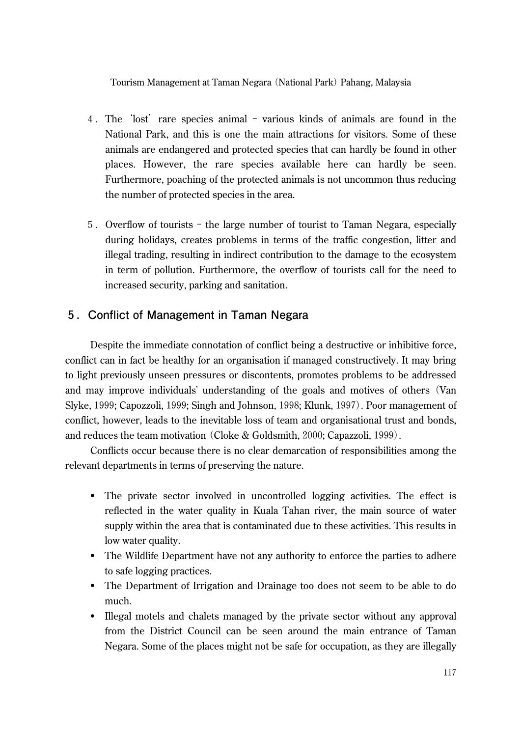- 4. The 'lost' rare species animal various kinds of animals are found in the National Park, and this is one the main attractions for visitors. Some of these animals are endangered and protected species that can hardly be found in other places. However, the rare species available here can hardly be seen. Furthermore, poaching of the protected animals is not uncommon thus reducing the number of protected species in the area.
- 5. Overflow of tourists the large number of tourist to Taman Negara, especially during holidays, creates problems in terms of the traffic congestion, litter and illegal trading, resulting in indirect contribution to the damage to the ecosystem in term of pollution. Furthermore, the overflow of tourists call for the need to increased security, parking and sanitation.

# 5**.Conflict of Management in Taman Negara**

Despite the immediate connotation of conflict being a destructive or inhibitive force, conflict can in fact be healthy for an organisation if managed constructively. It may bring to light previously unseen pressures or discontents, promotes problems to be addressed and may improve individuals' understanding of the goals and motives of others (Van Slyke, 1999; Capozzoli, 1999; Singh and Johnson, 1998; Klunk, 1997). Poor management of conflict, however, leads to the inevitable loss of team and organisational trust and bonds, and reduces the team motivation (Cloke & Goldsmith, 2000; Capazzoli, 1999).

Conflicts occur because there is no clear demarcation of responsibilities among the relevant departments in terms of preserving the nature.

- The private sector involved in uncontrolled logging activities. The effect is reflected in the water quality in Kuala Tahan river, the main source of water supply within the area that is contaminated due to these activities. This results in low water quality.
- The Wildlife Department have not any authority to enforce the parties to adhere to safe logging practices.
- The Department of Irrigation and Drainage too does not seem to be able to do much.
- Illegal motels and chalets managed by the private sector without any approval from the District Council can be seen around the main entrance of Taman Negara. Some of the places might not be safe for occupation, as they are illegally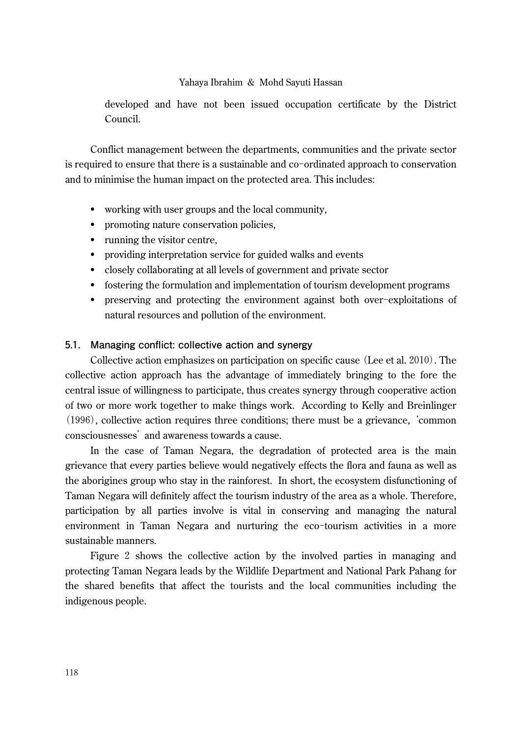developed and have not been issued occupation certificate by the District Council.

Conflict management between the departments, communities and the private sector is required to ensure that there is a sustainable and co-ordinated approach to conservation and to minimise the human impact on the protected area. This includes:

- working with user groups and the local community,
- promoting nature conservation policies,
- running the visitor centre,
- providing interpretation service for guided walks and events
- closely collaborating at all levels of government and private sector
- fostering the formulation and implementation of tourism development programs
- preserving and protecting the environment against both over-exploitations of natural resources and pollution of the environment.

## 5**.**1**. Managing conflict: collective action and synergy**

Collective action emphasizes on participation on specific cause (Lee et al. 2010). The collective action approach has the advantage of immediately bringing to the fore the central issue of willingness to participate, thus creates synergy through cooperative action of two or more work together to make things work. According to Kelly and Breinlinger (1996), collective action requires three conditions; there must be a grievance, 'common consciousnesses' and awareness towards a cause.

In the case of Taman Negara, the degradation of protected area is the main grievance that every parties believe would negatively effects the flora and fauna as well as the aborigines group who stay in the rainforest. In short, the ecosystem disfunctioning of Taman Negara will definitely affect the tourism industry of the area as a whole. Therefore, participation by all parties involve is vital in conserving and managing the natural environment in Taman Negara and nurturing the eco-tourism activities in a more sustainable manners.

Figure 2 shows the collective action by the involved parties in managing and protecting Taman Negara leads by the Wildlife Department and National Park Pahang for the shared benefits that affect the tourists and the local communities including the indigenous people.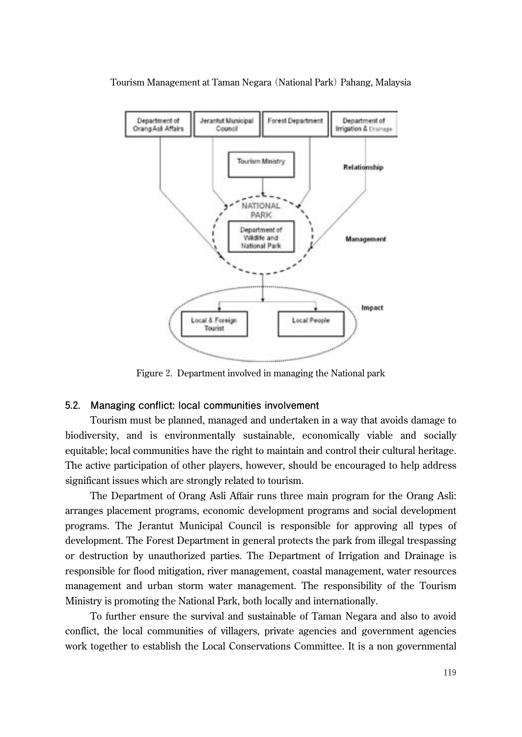

Figure 2. Department involved in managing the National park

#### 5**.**2**. Managing conflict: local communities involvement**

Tourism must be planned, managed and undertaken in a way that avoids damage to biodiversity, and is environmentally sustainable, economically viable and socially equitable; local communities have the right to maintain and control their cultural heritage. The active participation of other players, however, should be encouraged to help address significant issues which are strongly related to tourism.

The Department of Orang Asli Affair runs three main program for the Orang Asli: arranges placement programs, economic development programs and social development programs. The Jerantut Municipal Council is responsible for approving all types of development. The Forest Department in general protects the park from illegal trespassing or destruction by unauthorized parties. The Department of Irrigation and Drainage is responsible for flood mitigation, river management, coastal management, water resources management and urban storm water management. The responsibility of the Tourism Ministry is promoting the National Park, both locally and internationally.

To further ensure the survival and sustainable of Taman Negara and also to avoid conflict, the local communities of villagers, private agencies and government agencies work together to establish the Local Conservations Committee. It is a non governmental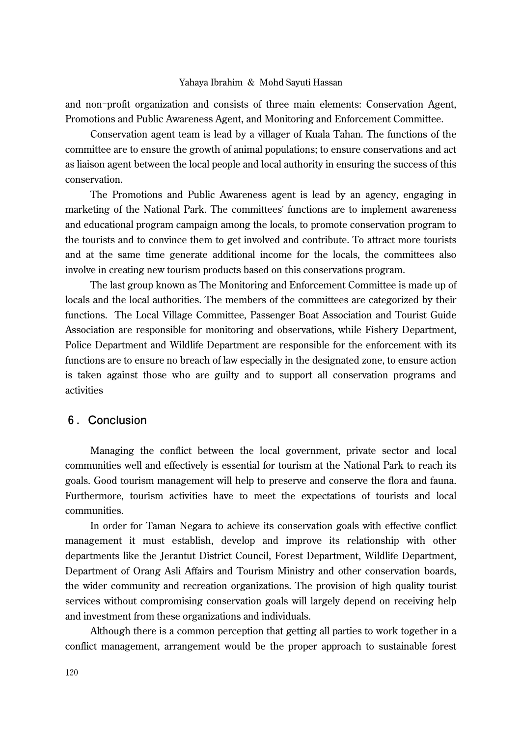and non-profit organization and consists of three main elements: Conservation Agent, Promotions and Public Awareness Agent, and Monitoring and Enforcement Committee.

Conservation agent team is lead by a villager of Kuala Tahan. The functions of the committee are to ensure the growth of animal populations; to ensure conservations and act as liaison agent between the local people and local authority in ensuring the success of this conservation.

The Promotions and Public Awareness agent is lead by an agency, engaging in marketing of the National Park. The committees' functions are to implement awareness and educational program campaign among the locals, to promote conservation program to the tourists and to convince them to get involved and contribute. To attract more tourists and at the same time generate additional income for the locals, the committees also involve in creating new tourism products based on this conservations program.

The last group known as The Monitoring and Enforcement Committee is made up of locals and the local authorities. The members of the committees are categorized by their functions. The Local Village Committee, Passenger Boat Association and Tourist Guide Association are responsible for monitoring and observations, while Fishery Department, Police Department and Wildlife Department are responsible for the enforcement with its functions are to ensure no breach of law especially in the designated zone, to ensure action is taken against those who are guilty and to support all conservation programs and activities

## 6**.Conclusion**

Managing the conflict between the local government, private sector and local communities well and effectively is essential for tourism at the National Park to reach its goals. Good tourism management will help to preserve and conserve the flora and fauna. Furthermore, tourism activities have to meet the expectations of tourists and local communities.

In order for Taman Negara to achieve its conservation goals with effective conflict management it must establish, develop and improve its relationship with other departments like the Jerantut District Council, Forest Department, Wildlife Department, Department of Orang Asli Affairs and Tourism Ministry and other conservation boards, the wider community and recreation organizations. The provision of high quality tourist services without compromising conservation goals will largely depend on receiving help and investment from these organizations and individuals.

Although there is a common perception that getting all parties to work together in a conflict management, arrangement would be the proper approach to sustainable forest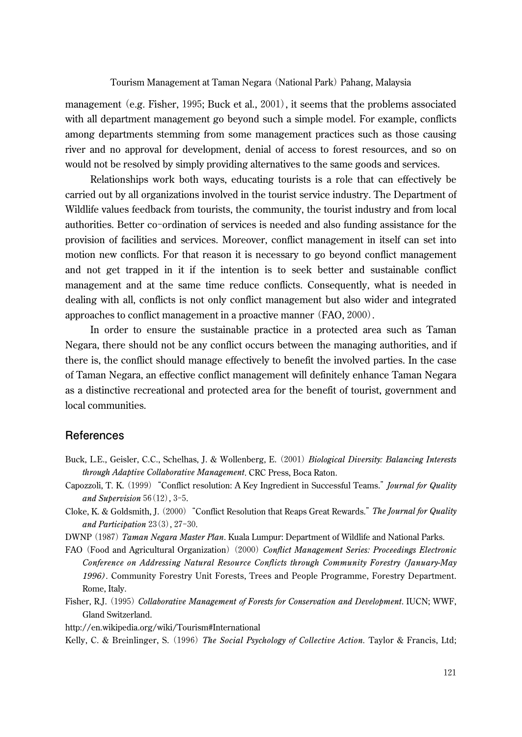management (e.g. Fisher, 1995; Buck et al., 2001), it seems that the problems associated with all department management go beyond such a simple model. For example, conflicts among departments stemming from some management practices such as those causing river and no approval for development, denial of access to forest resources, and so on would not be resolved by simply providing alternatives to the same goods and services.

Relationships work both ways, educating tourists is a role that can effectively be carried out by all organizations involved in the tourist service industry. The Department of Wildlife values feedback from tourists, the community, the tourist industry and from local authorities. Better co-ordination of services is needed and also funding assistance for the provision of facilities and services. Moreover, conflict management in itself can set into motion new conflicts. For that reason it is necessary to go beyond conflict management and not get trapped in it if the intention is to seek better and sustainable conflict management and at the same time reduce conflicts. Consequently, what is needed in dealing with all, conflicts is not only conflict management but also wider and integrated approaches to conflict management in a proactive manner (FAO, 2000).

In order to ensure the sustainable practice in a protected area such as Taman Negara, there should not be any conflict occurs between the managing authorities, and if there is, the conflict should manage effectively to benefit the involved parties. In the case of Taman Negara, an effective conflict management will definitely enhance Taman Negara as a distinctive recreational and protected area for the benefit of tourist, government and local communities.

## **References**

- Buck, L.E., Geisler, C.C., Schelhas, J. & Wollenberg, E. (2001) *Biological Diversity: Balancing Interests through Adaptive Collaborative Management*. CRC Press, Boca Raton.
- Capozzoli, T. K. (1999)"Conflict resolution: A Key Ingredient in Successful Teams."*Journal for Quality and Supervision* 56(12), 3-5.
- Cloke, K. & Goldsmith, J. (2000)"Conflict Resolution that Reaps Great Rewards."*The Journal for Quality and Participation* 23(3), 27-30.
- DWNP (1987) *Taman Negara Master Plan*. Kuala Lumpur: Department of Wildlife and National Parks.
- FAO (Food and Agricultural Organization) (2000) *Conflict Management Series: Proceedings Electronic Conference on Addressing Natural Resource Conflicts through Community Forestry (January-May 1996)*. Community Forestry Unit Forests, Trees and People Programme, Forestry Department. Rome, Italy.
- Fisher, R.J. (1995) *Collaborative Management of Forests for Conservation and Development*. IUCN; WWF, Gland Switzerland.
- http://en.wikipedia.org/wiki/Tourism#International

Kelly, C. & Breinlinger, S. (1996) *The Social Psychology of Collective Action.* Taylor & Francis, Ltd;